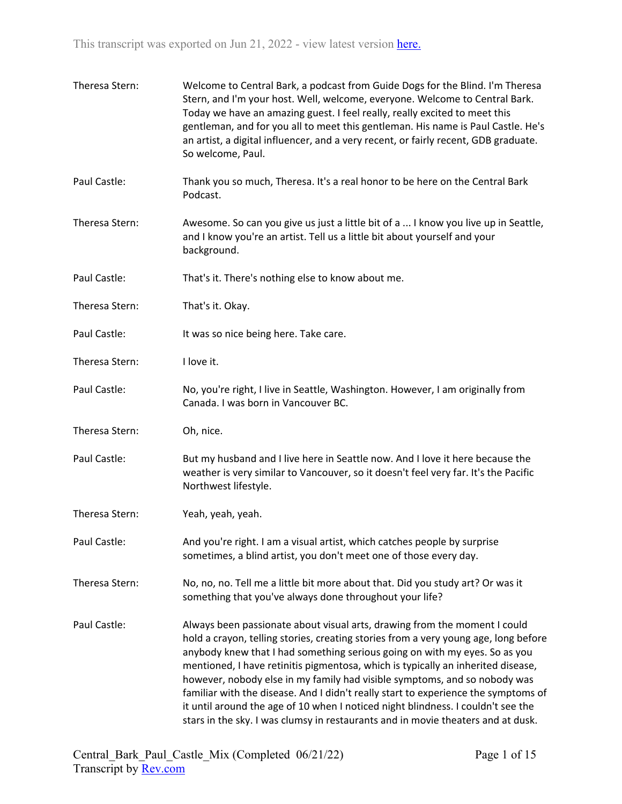| Theresa Stern: | Welcome to Central Bark, a podcast from Guide Dogs for the Blind. I'm Theresa<br>Stern, and I'm your host. Well, welcome, everyone. Welcome to Central Bark.<br>Today we have an amazing guest. I feel really, really excited to meet this<br>gentleman, and for you all to meet this gentleman. His name is Paul Castle. He's<br>an artist, a digital influencer, and a very recent, or fairly recent, GDB graduate.<br>So welcome, Paul.                                                                                                                                                                                                                                    |
|----------------|-------------------------------------------------------------------------------------------------------------------------------------------------------------------------------------------------------------------------------------------------------------------------------------------------------------------------------------------------------------------------------------------------------------------------------------------------------------------------------------------------------------------------------------------------------------------------------------------------------------------------------------------------------------------------------|
| Paul Castle:   | Thank you so much, Theresa. It's a real honor to be here on the Central Bark<br>Podcast.                                                                                                                                                                                                                                                                                                                                                                                                                                                                                                                                                                                      |
| Theresa Stern: | Awesome. So can you give us just a little bit of a  I know you live up in Seattle,<br>and I know you're an artist. Tell us a little bit about yourself and your<br>background.                                                                                                                                                                                                                                                                                                                                                                                                                                                                                                |
| Paul Castle:   | That's it. There's nothing else to know about me.                                                                                                                                                                                                                                                                                                                                                                                                                                                                                                                                                                                                                             |
| Theresa Stern: | That's it. Okay.                                                                                                                                                                                                                                                                                                                                                                                                                                                                                                                                                                                                                                                              |
| Paul Castle:   | It was so nice being here. Take care.                                                                                                                                                                                                                                                                                                                                                                                                                                                                                                                                                                                                                                         |
| Theresa Stern: | I love it.                                                                                                                                                                                                                                                                                                                                                                                                                                                                                                                                                                                                                                                                    |
| Paul Castle:   | No, you're right, I live in Seattle, Washington. However, I am originally from<br>Canada. I was born in Vancouver BC.                                                                                                                                                                                                                                                                                                                                                                                                                                                                                                                                                         |
| Theresa Stern: | Oh, nice.                                                                                                                                                                                                                                                                                                                                                                                                                                                                                                                                                                                                                                                                     |
| Paul Castle:   | But my husband and I live here in Seattle now. And I love it here because the<br>weather is very similar to Vancouver, so it doesn't feel very far. It's the Pacific<br>Northwest lifestyle.                                                                                                                                                                                                                                                                                                                                                                                                                                                                                  |
| Theresa Stern: | Yeah, yeah, yeah.                                                                                                                                                                                                                                                                                                                                                                                                                                                                                                                                                                                                                                                             |
| Paul Castle:   | And you're right. I am a visual artist, which catches people by surprise<br>sometimes, a blind artist, you don't meet one of those every day.                                                                                                                                                                                                                                                                                                                                                                                                                                                                                                                                 |
| Theresa Stern: | No, no, no. Tell me a little bit more about that. Did you study art? Or was it<br>something that you've always done throughout your life?                                                                                                                                                                                                                                                                                                                                                                                                                                                                                                                                     |
| Paul Castle:   | Always been passionate about visual arts, drawing from the moment I could<br>hold a crayon, telling stories, creating stories from a very young age, long before<br>anybody knew that I had something serious going on with my eyes. So as you<br>mentioned, I have retinitis pigmentosa, which is typically an inherited disease,<br>however, nobody else in my family had visible symptoms, and so nobody was<br>familiar with the disease. And I didn't really start to experience the symptoms of<br>it until around the age of 10 when I noticed night blindness. I couldn't see the<br>stars in the sky. I was clumsy in restaurants and in movie theaters and at dusk. |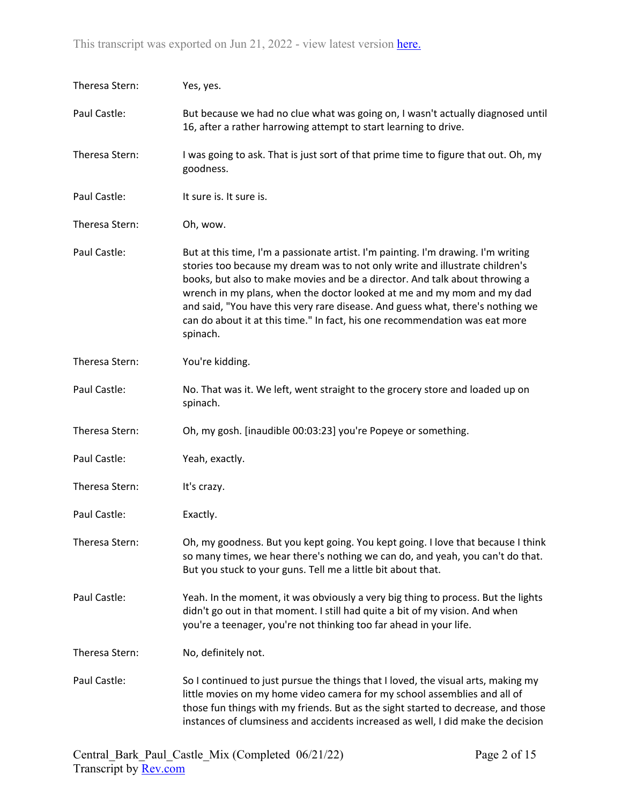| Theresa Stern: | Yes, yes.                                                                                                                                                                                                                                                                                                                                                                                                                                                                                               |
|----------------|---------------------------------------------------------------------------------------------------------------------------------------------------------------------------------------------------------------------------------------------------------------------------------------------------------------------------------------------------------------------------------------------------------------------------------------------------------------------------------------------------------|
| Paul Castle:   | But because we had no clue what was going on, I wasn't actually diagnosed until<br>16, after a rather harrowing attempt to start learning to drive.                                                                                                                                                                                                                                                                                                                                                     |
| Theresa Stern: | I was going to ask. That is just sort of that prime time to figure that out. Oh, my<br>goodness.                                                                                                                                                                                                                                                                                                                                                                                                        |
| Paul Castle:   | It sure is. It sure is.                                                                                                                                                                                                                                                                                                                                                                                                                                                                                 |
| Theresa Stern: | Oh, wow.                                                                                                                                                                                                                                                                                                                                                                                                                                                                                                |
| Paul Castle:   | But at this time, I'm a passionate artist. I'm painting. I'm drawing. I'm writing<br>stories too because my dream was to not only write and illustrate children's<br>books, but also to make movies and be a director. And talk about throwing a<br>wrench in my plans, when the doctor looked at me and my mom and my dad<br>and said, "You have this very rare disease. And guess what, there's nothing we<br>can do about it at this time." In fact, his one recommendation was eat more<br>spinach. |
| Theresa Stern: | You're kidding.                                                                                                                                                                                                                                                                                                                                                                                                                                                                                         |
| Paul Castle:   | No. That was it. We left, went straight to the grocery store and loaded up on<br>spinach.                                                                                                                                                                                                                                                                                                                                                                                                               |
| Theresa Stern: | Oh, my gosh. [inaudible 00:03:23] you're Popeye or something.                                                                                                                                                                                                                                                                                                                                                                                                                                           |
| Paul Castle:   | Yeah, exactly.                                                                                                                                                                                                                                                                                                                                                                                                                                                                                          |
| Theresa Stern: | It's crazy.                                                                                                                                                                                                                                                                                                                                                                                                                                                                                             |
| Paul Castle:   | Exactly.                                                                                                                                                                                                                                                                                                                                                                                                                                                                                                |
| Theresa Stern: | Oh, my goodness. But you kept going. You kept going. I love that because I think<br>so many times, we hear there's nothing we can do, and yeah, you can't do that.<br>But you stuck to your guns. Tell me a little bit about that.                                                                                                                                                                                                                                                                      |
| Paul Castle:   | Yeah. In the moment, it was obviously a very big thing to process. But the lights<br>didn't go out in that moment. I still had quite a bit of my vision. And when<br>you're a teenager, you're not thinking too far ahead in your life.                                                                                                                                                                                                                                                                 |
| Theresa Stern: | No, definitely not.                                                                                                                                                                                                                                                                                                                                                                                                                                                                                     |
| Paul Castle:   | So I continued to just pursue the things that I loved, the visual arts, making my<br>little movies on my home video camera for my school assemblies and all of<br>those fun things with my friends. But as the sight started to decrease, and those<br>instances of clumsiness and accidents increased as well, I did make the decision                                                                                                                                                                 |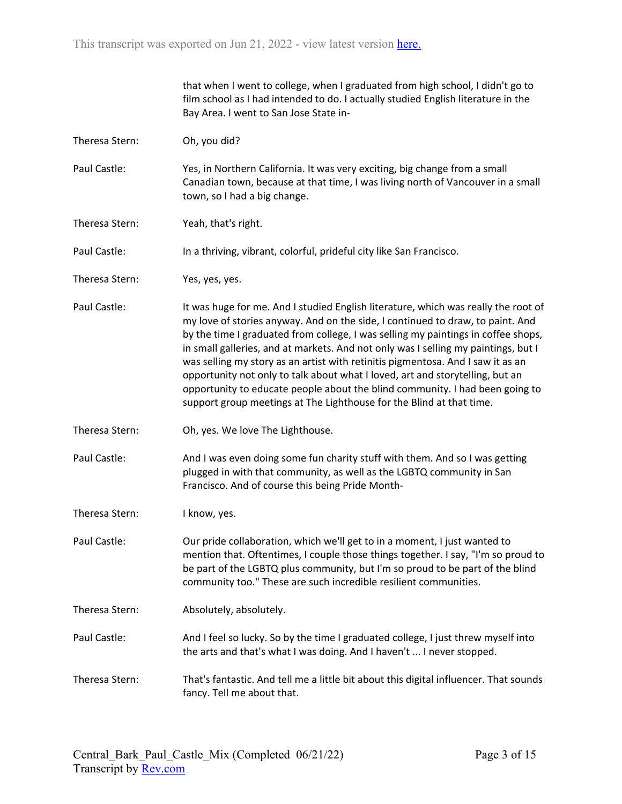|                | that when I went to college, when I graduated from high school, I didn't go to<br>film school as I had intended to do. I actually studied English literature in the<br>Bay Area. I went to San Jose State in-                                                                                                                                                                                                                                                                                                                                                                                                                                                               |
|----------------|-----------------------------------------------------------------------------------------------------------------------------------------------------------------------------------------------------------------------------------------------------------------------------------------------------------------------------------------------------------------------------------------------------------------------------------------------------------------------------------------------------------------------------------------------------------------------------------------------------------------------------------------------------------------------------|
| Theresa Stern: | Oh, you did?                                                                                                                                                                                                                                                                                                                                                                                                                                                                                                                                                                                                                                                                |
| Paul Castle:   | Yes, in Northern California. It was very exciting, big change from a small<br>Canadian town, because at that time, I was living north of Vancouver in a small<br>town, so I had a big change.                                                                                                                                                                                                                                                                                                                                                                                                                                                                               |
| Theresa Stern: | Yeah, that's right.                                                                                                                                                                                                                                                                                                                                                                                                                                                                                                                                                                                                                                                         |
| Paul Castle:   | In a thriving, vibrant, colorful, prideful city like San Francisco.                                                                                                                                                                                                                                                                                                                                                                                                                                                                                                                                                                                                         |
| Theresa Stern: | Yes, yes, yes.                                                                                                                                                                                                                                                                                                                                                                                                                                                                                                                                                                                                                                                              |
| Paul Castle:   | It was huge for me. And I studied English literature, which was really the root of<br>my love of stories anyway. And on the side, I continued to draw, to paint. And<br>by the time I graduated from college, I was selling my paintings in coffee shops,<br>in small galleries, and at markets. And not only was I selling my paintings, but I<br>was selling my story as an artist with retinitis pigmentosa. And I saw it as an<br>opportunity not only to talk about what I loved, art and storytelling, but an<br>opportunity to educate people about the blind community. I had been going to<br>support group meetings at The Lighthouse for the Blind at that time. |
| Theresa Stern: | Oh, yes. We love The Lighthouse.                                                                                                                                                                                                                                                                                                                                                                                                                                                                                                                                                                                                                                            |
| Paul Castle:   | And I was even doing some fun charity stuff with them. And so I was getting<br>plugged in with that community, as well as the LGBTQ community in San<br>Francisco. And of course this being Pride Month-                                                                                                                                                                                                                                                                                                                                                                                                                                                                    |
| Theresa Stern: | I know, yes.                                                                                                                                                                                                                                                                                                                                                                                                                                                                                                                                                                                                                                                                |
| Paul Castle:   | Our pride collaboration, which we'll get to in a moment, I just wanted to<br>mention that. Oftentimes, I couple those things together. I say, "I'm so proud to<br>be part of the LGBTQ plus community, but I'm so proud to be part of the blind<br>community too." These are such incredible resilient communities.                                                                                                                                                                                                                                                                                                                                                         |
| Theresa Stern: | Absolutely, absolutely.                                                                                                                                                                                                                                                                                                                                                                                                                                                                                                                                                                                                                                                     |
| Paul Castle:   | And I feel so lucky. So by the time I graduated college, I just threw myself into<br>the arts and that's what I was doing. And I haven't  I never stopped.                                                                                                                                                                                                                                                                                                                                                                                                                                                                                                                  |
| Theresa Stern: | That's fantastic. And tell me a little bit about this digital influencer. That sounds<br>fancy. Tell me about that.                                                                                                                                                                                                                                                                                                                                                                                                                                                                                                                                                         |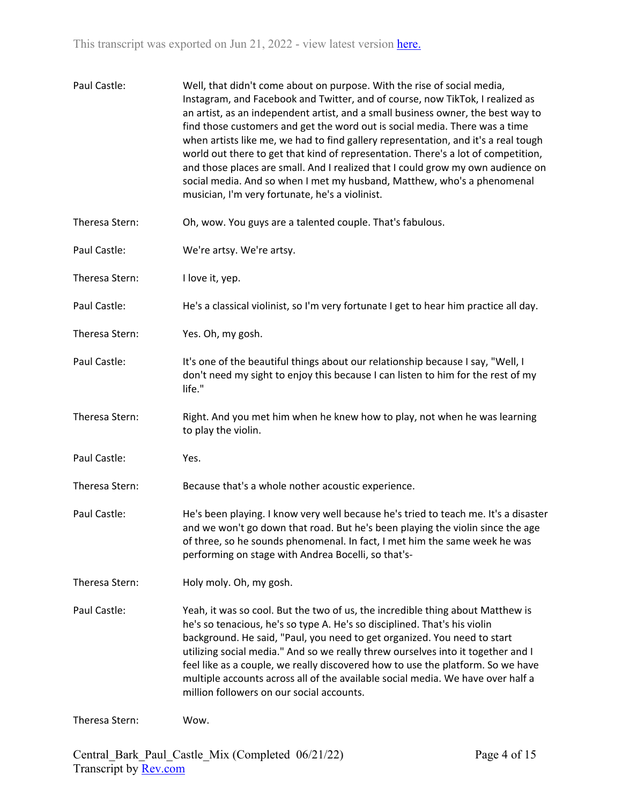| Paul Castle:   | Well, that didn't come about on purpose. With the rise of social media,<br>Instagram, and Facebook and Twitter, and of course, now TikTok, I realized as<br>an artist, as an independent artist, and a small business owner, the best way to<br>find those customers and get the word out is social media. There was a time<br>when artists like me, we had to find gallery representation, and it's a real tough<br>world out there to get that kind of representation. There's a lot of competition,<br>and those places are small. And I realized that I could grow my own audience on<br>social media. And so when I met my husband, Matthew, who's a phenomenal<br>musician, I'm very fortunate, he's a violinist. |
|----------------|-------------------------------------------------------------------------------------------------------------------------------------------------------------------------------------------------------------------------------------------------------------------------------------------------------------------------------------------------------------------------------------------------------------------------------------------------------------------------------------------------------------------------------------------------------------------------------------------------------------------------------------------------------------------------------------------------------------------------|
| Theresa Stern: | Oh, wow. You guys are a talented couple. That's fabulous.                                                                                                                                                                                                                                                                                                                                                                                                                                                                                                                                                                                                                                                               |
| Paul Castle:   | We're artsy. We're artsy.                                                                                                                                                                                                                                                                                                                                                                                                                                                                                                                                                                                                                                                                                               |
| Theresa Stern: | I love it, yep.                                                                                                                                                                                                                                                                                                                                                                                                                                                                                                                                                                                                                                                                                                         |
| Paul Castle:   | He's a classical violinist, so I'm very fortunate I get to hear him practice all day.                                                                                                                                                                                                                                                                                                                                                                                                                                                                                                                                                                                                                                   |
| Theresa Stern: | Yes. Oh, my gosh.                                                                                                                                                                                                                                                                                                                                                                                                                                                                                                                                                                                                                                                                                                       |
| Paul Castle:   | It's one of the beautiful things about our relationship because I say, "Well, I<br>don't need my sight to enjoy this because I can listen to him for the rest of my<br>life."                                                                                                                                                                                                                                                                                                                                                                                                                                                                                                                                           |
| Theresa Stern: | Right. And you met him when he knew how to play, not when he was learning<br>to play the violin.                                                                                                                                                                                                                                                                                                                                                                                                                                                                                                                                                                                                                        |
| Paul Castle:   | Yes.                                                                                                                                                                                                                                                                                                                                                                                                                                                                                                                                                                                                                                                                                                                    |
| Theresa Stern: | Because that's a whole nother acoustic experience.                                                                                                                                                                                                                                                                                                                                                                                                                                                                                                                                                                                                                                                                      |
| Paul Castle:   | He's been playing. I know very well because he's tried to teach me. It's a disaster<br>and we won't go down that road. But he's been playing the violin since the age<br>of three, so he sounds phenomenal. In fact, I met him the same week he was<br>performing on stage with Andrea Bocelli, so that's-                                                                                                                                                                                                                                                                                                                                                                                                              |
| Theresa Stern: | Holy moly. Oh, my gosh.                                                                                                                                                                                                                                                                                                                                                                                                                                                                                                                                                                                                                                                                                                 |
| Paul Castle:   | Yeah, it was so cool. But the two of us, the incredible thing about Matthew is<br>he's so tenacious, he's so type A. He's so disciplined. That's his violin<br>background. He said, "Paul, you need to get organized. You need to start<br>utilizing social media." And so we really threw ourselves into it together and I<br>feel like as a couple, we really discovered how to use the platform. So we have<br>multiple accounts across all of the available social media. We have over half a<br>million followers on our social accounts.                                                                                                                                                                          |
| Theresa Stern: | Wow.                                                                                                                                                                                                                                                                                                                                                                                                                                                                                                                                                                                                                                                                                                                    |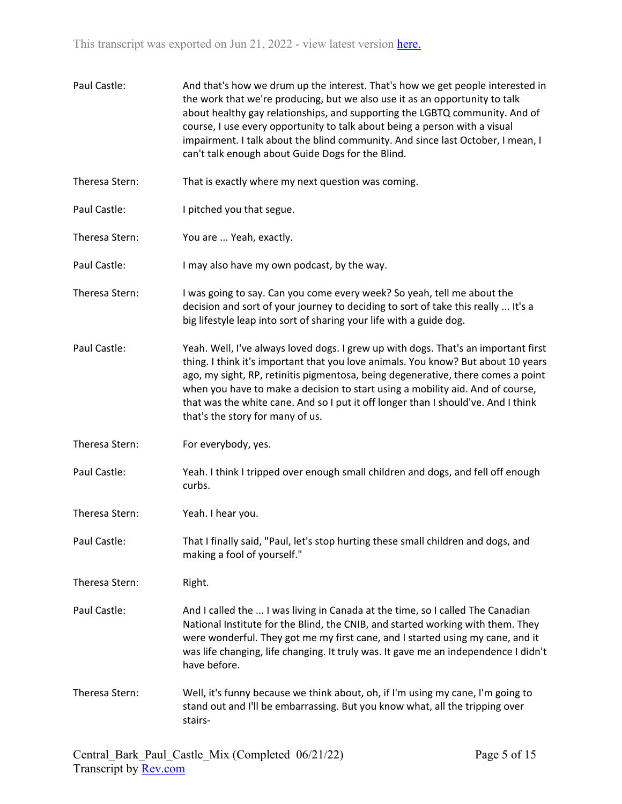| Paul Castle:   | And that's how we drum up the interest. That's how we get people interested in<br>the work that we're producing, but we also use it as an opportunity to talk<br>about healthy gay relationships, and supporting the LGBTQ community. And of<br>course, I use every opportunity to talk about being a person with a visual<br>impairment. I talk about the blind community. And since last October, I mean, I<br>can't talk enough about Guide Dogs for the Blind.     |
|----------------|------------------------------------------------------------------------------------------------------------------------------------------------------------------------------------------------------------------------------------------------------------------------------------------------------------------------------------------------------------------------------------------------------------------------------------------------------------------------|
| Theresa Stern: | That is exactly where my next question was coming.                                                                                                                                                                                                                                                                                                                                                                                                                     |
| Paul Castle:   | I pitched you that segue.                                                                                                                                                                                                                                                                                                                                                                                                                                              |
| Theresa Stern: | You are  Yeah, exactly.                                                                                                                                                                                                                                                                                                                                                                                                                                                |
| Paul Castle:   | I may also have my own podcast, by the way.                                                                                                                                                                                                                                                                                                                                                                                                                            |
| Theresa Stern: | I was going to say. Can you come every week? So yeah, tell me about the<br>decision and sort of your journey to deciding to sort of take this really  It's a<br>big lifestyle leap into sort of sharing your life with a guide dog.                                                                                                                                                                                                                                    |
| Paul Castle:   | Yeah. Well, I've always loved dogs. I grew up with dogs. That's an important first<br>thing. I think it's important that you love animals. You know? But about 10 years<br>ago, my sight, RP, retinitis pigmentosa, being degenerative, there comes a point<br>when you have to make a decision to start using a mobility aid. And of course,<br>that was the white cane. And so I put it off longer than I should've. And I think<br>that's the story for many of us. |
| Theresa Stern: | For everybody, yes.                                                                                                                                                                                                                                                                                                                                                                                                                                                    |
| Paul Castle:   | Yeah. I think I tripped over enough small children and dogs, and fell off enough<br>curbs.                                                                                                                                                                                                                                                                                                                                                                             |
| Theresa Stern: | Yeah. I hear you.                                                                                                                                                                                                                                                                                                                                                                                                                                                      |
| Paul Castle:   | That I finally said, "Paul, let's stop hurting these small children and dogs, and<br>making a fool of yourself."                                                                                                                                                                                                                                                                                                                                                       |
| Theresa Stern: | Right.                                                                                                                                                                                                                                                                                                                                                                                                                                                                 |
| Paul Castle:   | And I called the  I was living in Canada at the time, so I called The Canadian<br>National Institute for the Blind, the CNIB, and started working with them. They<br>were wonderful. They got me my first cane, and I started using my cane, and it<br>was life changing, life changing. It truly was. It gave me an independence I didn't<br>have before.                                                                                                             |
| Theresa Stern: | Well, it's funny because we think about, oh, if I'm using my cane, I'm going to<br>stand out and I'll be embarrassing. But you know what, all the tripping over<br>stairs-                                                                                                                                                                                                                                                                                             |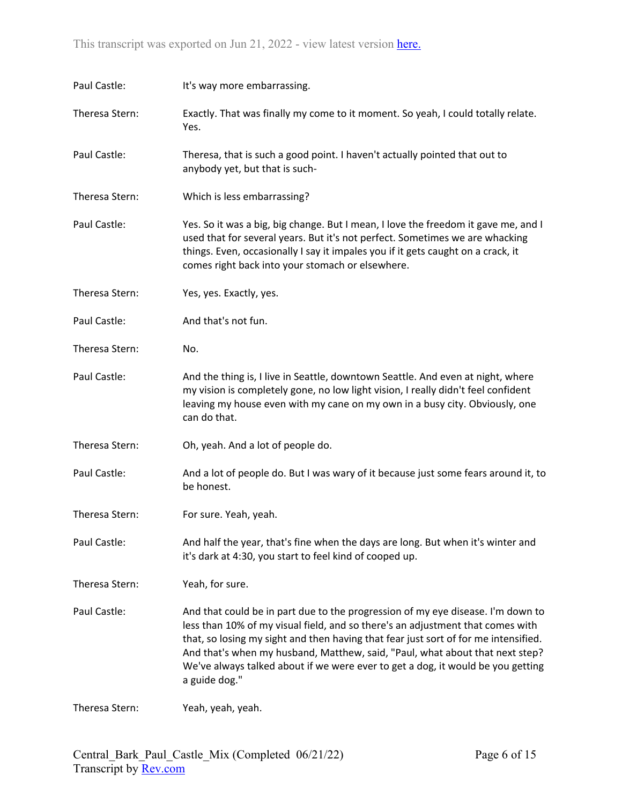| Paul Castle:   | It's way more embarrassing.                                                                                                                                                                                                                                                                                                                                                                                                                  |
|----------------|----------------------------------------------------------------------------------------------------------------------------------------------------------------------------------------------------------------------------------------------------------------------------------------------------------------------------------------------------------------------------------------------------------------------------------------------|
| Theresa Stern: | Exactly. That was finally my come to it moment. So yeah, I could totally relate.<br>Yes.                                                                                                                                                                                                                                                                                                                                                     |
| Paul Castle:   | Theresa, that is such a good point. I haven't actually pointed that out to<br>anybody yet, but that is such-                                                                                                                                                                                                                                                                                                                                 |
| Theresa Stern: | Which is less embarrassing?                                                                                                                                                                                                                                                                                                                                                                                                                  |
| Paul Castle:   | Yes. So it was a big, big change. But I mean, I love the freedom it gave me, and I<br>used that for several years. But it's not perfect. Sometimes we are whacking<br>things. Even, occasionally I say it impales you if it gets caught on a crack, it<br>comes right back into your stomach or elsewhere.                                                                                                                                   |
| Theresa Stern: | Yes, yes. Exactly, yes.                                                                                                                                                                                                                                                                                                                                                                                                                      |
| Paul Castle:   | And that's not fun.                                                                                                                                                                                                                                                                                                                                                                                                                          |
| Theresa Stern: | No.                                                                                                                                                                                                                                                                                                                                                                                                                                          |
| Paul Castle:   | And the thing is, I live in Seattle, downtown Seattle. And even at night, where<br>my vision is completely gone, no low light vision, I really didn't feel confident<br>leaving my house even with my cane on my own in a busy city. Obviously, one<br>can do that.                                                                                                                                                                          |
| Theresa Stern: | Oh, yeah. And a lot of people do.                                                                                                                                                                                                                                                                                                                                                                                                            |
| Paul Castle:   | And a lot of people do. But I was wary of it because just some fears around it, to<br>be honest.                                                                                                                                                                                                                                                                                                                                             |
| Theresa Stern: | For sure. Yeah, yeah.                                                                                                                                                                                                                                                                                                                                                                                                                        |
| Paul Castle:   | And half the year, that's fine when the days are long. But when it's winter and<br>it's dark at 4:30, you start to feel kind of cooped up.                                                                                                                                                                                                                                                                                                   |
| Theresa Stern: | Yeah, for sure.                                                                                                                                                                                                                                                                                                                                                                                                                              |
| Paul Castle:   | And that could be in part due to the progression of my eye disease. I'm down to<br>less than 10% of my visual field, and so there's an adjustment that comes with<br>that, so losing my sight and then having that fear just sort of for me intensified.<br>And that's when my husband, Matthew, said, "Paul, what about that next step?<br>We've always talked about if we were ever to get a dog, it would be you getting<br>a guide dog." |
| Theresa Stern: | Yeah, yeah, yeah.                                                                                                                                                                                                                                                                                                                                                                                                                            |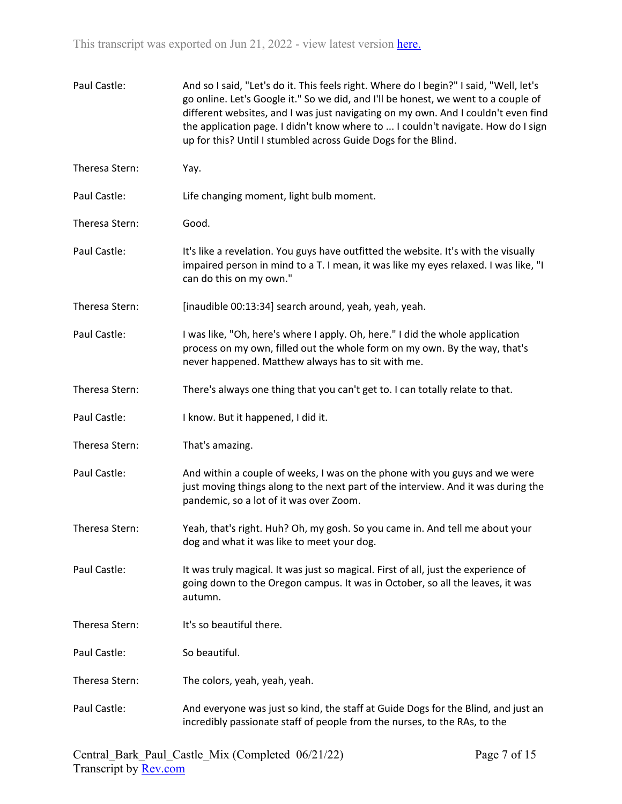| Paul Castle:   | And so I said, "Let's do it. This feels right. Where do I begin?" I said, "Well, let's<br>go online. Let's Google it." So we did, and I'll be honest, we went to a couple of<br>different websites, and I was just navigating on my own. And I couldn't even find<br>the application page. I didn't know where to  I couldn't navigate. How do I sign<br>up for this? Until I stumbled across Guide Dogs for the Blind. |
|----------------|-------------------------------------------------------------------------------------------------------------------------------------------------------------------------------------------------------------------------------------------------------------------------------------------------------------------------------------------------------------------------------------------------------------------------|
| Theresa Stern: | Yay.                                                                                                                                                                                                                                                                                                                                                                                                                    |
| Paul Castle:   | Life changing moment, light bulb moment.                                                                                                                                                                                                                                                                                                                                                                                |
| Theresa Stern: | Good.                                                                                                                                                                                                                                                                                                                                                                                                                   |
| Paul Castle:   | It's like a revelation. You guys have outfitted the website. It's with the visually<br>impaired person in mind to a T. I mean, it was like my eyes relaxed. I was like, "I<br>can do this on my own."                                                                                                                                                                                                                   |
| Theresa Stern: | [inaudible 00:13:34] search around, yeah, yeah, yeah.                                                                                                                                                                                                                                                                                                                                                                   |
| Paul Castle:   | I was like, "Oh, here's where I apply. Oh, here." I did the whole application<br>process on my own, filled out the whole form on my own. By the way, that's<br>never happened. Matthew always has to sit with me.                                                                                                                                                                                                       |
| Theresa Stern: | There's always one thing that you can't get to. I can totally relate to that.                                                                                                                                                                                                                                                                                                                                           |
| Paul Castle:   | I know. But it happened, I did it.                                                                                                                                                                                                                                                                                                                                                                                      |
| Theresa Stern: | That's amazing.                                                                                                                                                                                                                                                                                                                                                                                                         |
| Paul Castle:   | And within a couple of weeks, I was on the phone with you guys and we were<br>just moving things along to the next part of the interview. And it was during the<br>pandemic, so a lot of it was over Zoom.                                                                                                                                                                                                              |
| Theresa Stern: | Yeah, that's right. Huh? Oh, my gosh. So you came in. And tell me about your<br>dog and what it was like to meet your dog.                                                                                                                                                                                                                                                                                              |
| Paul Castle:   | It was truly magical. It was just so magical. First of all, just the experience of<br>going down to the Oregon campus. It was in October, so all the leaves, it was<br>autumn.                                                                                                                                                                                                                                          |
| Theresa Stern: | It's so beautiful there.                                                                                                                                                                                                                                                                                                                                                                                                |
| Paul Castle:   | So beautiful.                                                                                                                                                                                                                                                                                                                                                                                                           |
| Theresa Stern: | The colors, yeah, yeah, yeah.                                                                                                                                                                                                                                                                                                                                                                                           |
| Paul Castle:   | And everyone was just so kind, the staff at Guide Dogs for the Blind, and just an<br>incredibly passionate staff of people from the nurses, to the RAs, to the                                                                                                                                                                                                                                                          |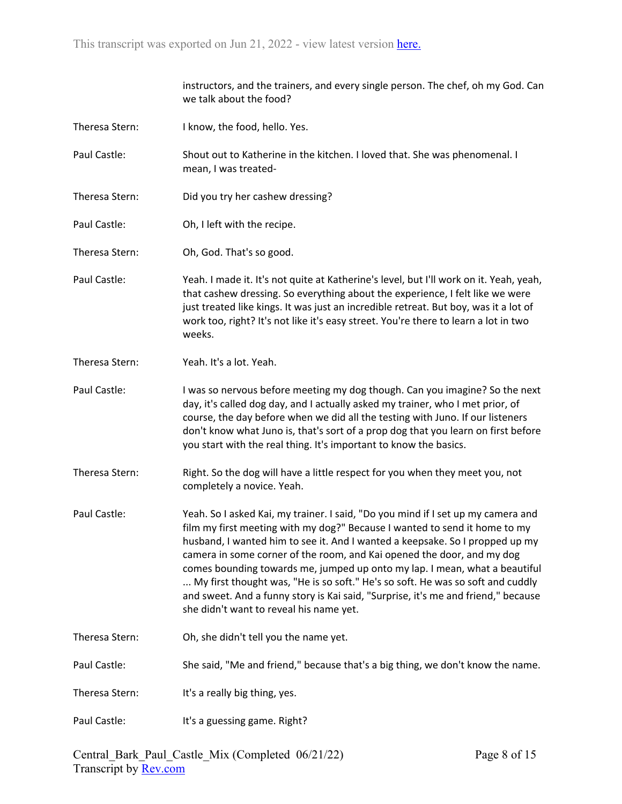|                | instructors, and the trainers, and every single person. The chef, oh my God. Can<br>we talk about the food?                                                                                                                                                                                                                                                                                                                                                                                                                                                                                                              |
|----------------|--------------------------------------------------------------------------------------------------------------------------------------------------------------------------------------------------------------------------------------------------------------------------------------------------------------------------------------------------------------------------------------------------------------------------------------------------------------------------------------------------------------------------------------------------------------------------------------------------------------------------|
| Theresa Stern: | I know, the food, hello. Yes.                                                                                                                                                                                                                                                                                                                                                                                                                                                                                                                                                                                            |
| Paul Castle:   | Shout out to Katherine in the kitchen. I loved that. She was phenomenal. I<br>mean, I was treated-                                                                                                                                                                                                                                                                                                                                                                                                                                                                                                                       |
| Theresa Stern: | Did you try her cashew dressing?                                                                                                                                                                                                                                                                                                                                                                                                                                                                                                                                                                                         |
| Paul Castle:   | Oh, I left with the recipe.                                                                                                                                                                                                                                                                                                                                                                                                                                                                                                                                                                                              |
| Theresa Stern: | Oh, God. That's so good.                                                                                                                                                                                                                                                                                                                                                                                                                                                                                                                                                                                                 |
| Paul Castle:   | Yeah. I made it. It's not quite at Katherine's level, but I'll work on it. Yeah, yeah,<br>that cashew dressing. So everything about the experience, I felt like we were<br>just treated like kings. It was just an incredible retreat. But boy, was it a lot of<br>work too, right? It's not like it's easy street. You're there to learn a lot in two<br>weeks.                                                                                                                                                                                                                                                         |
| Theresa Stern: | Yeah. It's a lot. Yeah.                                                                                                                                                                                                                                                                                                                                                                                                                                                                                                                                                                                                  |
| Paul Castle:   | I was so nervous before meeting my dog though. Can you imagine? So the next<br>day, it's called dog day, and I actually asked my trainer, who I met prior, of<br>course, the day before when we did all the testing with Juno. If our listeners<br>don't know what Juno is, that's sort of a prop dog that you learn on first before<br>you start with the real thing. It's important to know the basics.                                                                                                                                                                                                                |
| Theresa Stern: | Right. So the dog will have a little respect for you when they meet you, not<br>completely a novice. Yeah.                                                                                                                                                                                                                                                                                                                                                                                                                                                                                                               |
| Paul Castle:   | Yeah. So I asked Kai, my trainer. I said, "Do you mind if I set up my camera and<br>film my first meeting with my dog?" Because I wanted to send it home to my<br>husband, I wanted him to see it. And I wanted a keepsake. So I propped up my<br>camera in some corner of the room, and Kai opened the door, and my dog<br>comes bounding towards me, jumped up onto my lap. I mean, what a beautiful<br>My first thought was, "He is so soft." He's so soft. He was so soft and cuddly<br>and sweet. And a funny story is Kai said, "Surprise, it's me and friend," because<br>she didn't want to reveal his name yet. |
| Theresa Stern: | Oh, she didn't tell you the name yet.                                                                                                                                                                                                                                                                                                                                                                                                                                                                                                                                                                                    |
| Paul Castle:   | She said, "Me and friend," because that's a big thing, we don't know the name.                                                                                                                                                                                                                                                                                                                                                                                                                                                                                                                                           |
| Theresa Stern: | It's a really big thing, yes.                                                                                                                                                                                                                                                                                                                                                                                                                                                                                                                                                                                            |
| Paul Castle:   | It's a guessing game. Right?                                                                                                                                                                                                                                                                                                                                                                                                                                                                                                                                                                                             |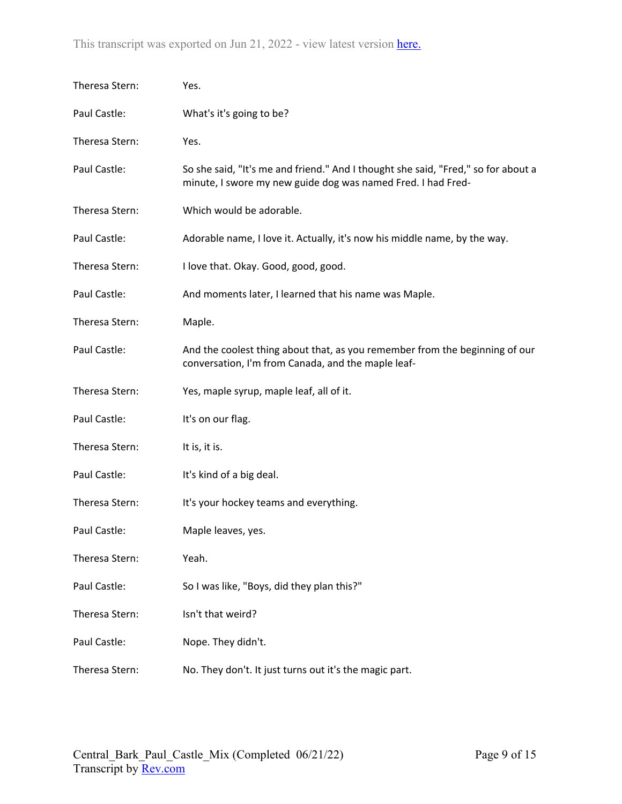| Theresa Stern: | Yes.                                                                                                                                              |
|----------------|---------------------------------------------------------------------------------------------------------------------------------------------------|
| Paul Castle:   | What's it's going to be?                                                                                                                          |
| Theresa Stern: | Yes.                                                                                                                                              |
| Paul Castle:   | So she said, "It's me and friend." And I thought she said, "Fred," so for about a<br>minute, I swore my new guide dog was named Fred. I had Fred- |
| Theresa Stern: | Which would be adorable.                                                                                                                          |
| Paul Castle:   | Adorable name, I love it. Actually, it's now his middle name, by the way.                                                                         |
| Theresa Stern: | I love that. Okay. Good, good, good.                                                                                                              |
| Paul Castle:   | And moments later, I learned that his name was Maple.                                                                                             |
| Theresa Stern: | Maple.                                                                                                                                            |
| Paul Castle:   | And the coolest thing about that, as you remember from the beginning of our<br>conversation, I'm from Canada, and the maple leaf-                 |
| Theresa Stern: | Yes, maple syrup, maple leaf, all of it.                                                                                                          |
| Paul Castle:   | It's on our flag.                                                                                                                                 |
| Theresa Stern: | It is, it is.                                                                                                                                     |
| Paul Castle:   | It's kind of a big deal.                                                                                                                          |
| Theresa Stern: | It's your hockey teams and everything.                                                                                                            |
| Paul Castle:   | Maple leaves, yes.                                                                                                                                |
| Theresa Stern: | Yeah.                                                                                                                                             |
| Paul Castle:   | So I was like, "Boys, did they plan this?"                                                                                                        |
| Theresa Stern: | Isn't that weird?                                                                                                                                 |
| Paul Castle:   | Nope. They didn't.                                                                                                                                |
| Theresa Stern: | No. They don't. It just turns out it's the magic part.                                                                                            |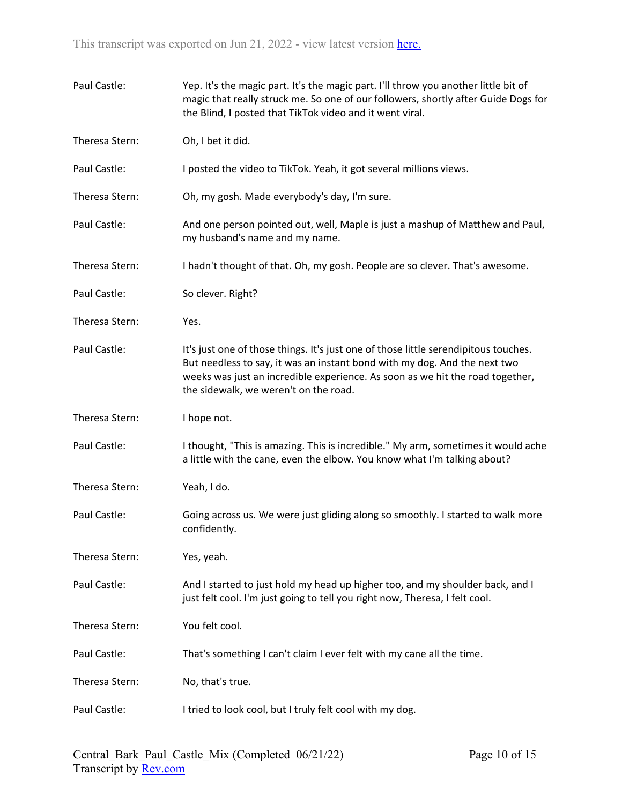| Paul Castle:   | Yep. It's the magic part. It's the magic part. I'll throw you another little bit of<br>magic that really struck me. So one of our followers, shortly after Guide Dogs for<br>the Blind, I posted that TikTok video and it went viral.                                                      |
|----------------|--------------------------------------------------------------------------------------------------------------------------------------------------------------------------------------------------------------------------------------------------------------------------------------------|
| Theresa Stern: | Oh, I bet it did.                                                                                                                                                                                                                                                                          |
| Paul Castle:   | I posted the video to TikTok. Yeah, it got several millions views.                                                                                                                                                                                                                         |
| Theresa Stern: | Oh, my gosh. Made everybody's day, I'm sure.                                                                                                                                                                                                                                               |
| Paul Castle:   | And one person pointed out, well, Maple is just a mashup of Matthew and Paul,<br>my husband's name and my name.                                                                                                                                                                            |
| Theresa Stern: | I hadn't thought of that. Oh, my gosh. People are so clever. That's awesome.                                                                                                                                                                                                               |
| Paul Castle:   | So clever. Right?                                                                                                                                                                                                                                                                          |
| Theresa Stern: | Yes.                                                                                                                                                                                                                                                                                       |
| Paul Castle:   | It's just one of those things. It's just one of those little serendipitous touches.<br>But needless to say, it was an instant bond with my dog. And the next two<br>weeks was just an incredible experience. As soon as we hit the road together,<br>the sidewalk, we weren't on the road. |
| Theresa Stern: | I hope not.                                                                                                                                                                                                                                                                                |
| Paul Castle:   | I thought, "This is amazing. This is incredible." My arm, sometimes it would ache<br>a little with the cane, even the elbow. You know what I'm talking about?                                                                                                                              |
| Theresa Stern: | Yeah, I do.                                                                                                                                                                                                                                                                                |
| Paul Castle:   | Going across us. We were just gliding along so smoothly. I started to walk more<br>confidently.                                                                                                                                                                                            |
| Theresa Stern: | Yes, yeah.                                                                                                                                                                                                                                                                                 |
| Paul Castle:   | And I started to just hold my head up higher too, and my shoulder back, and I<br>just felt cool. I'm just going to tell you right now, Theresa, I felt cool.                                                                                                                               |
| Theresa Stern: | You felt cool.                                                                                                                                                                                                                                                                             |
| Paul Castle:   | That's something I can't claim I ever felt with my cane all the time.                                                                                                                                                                                                                      |
| Theresa Stern: | No, that's true.                                                                                                                                                                                                                                                                           |
| Paul Castle:   | I tried to look cool, but I truly felt cool with my dog.                                                                                                                                                                                                                                   |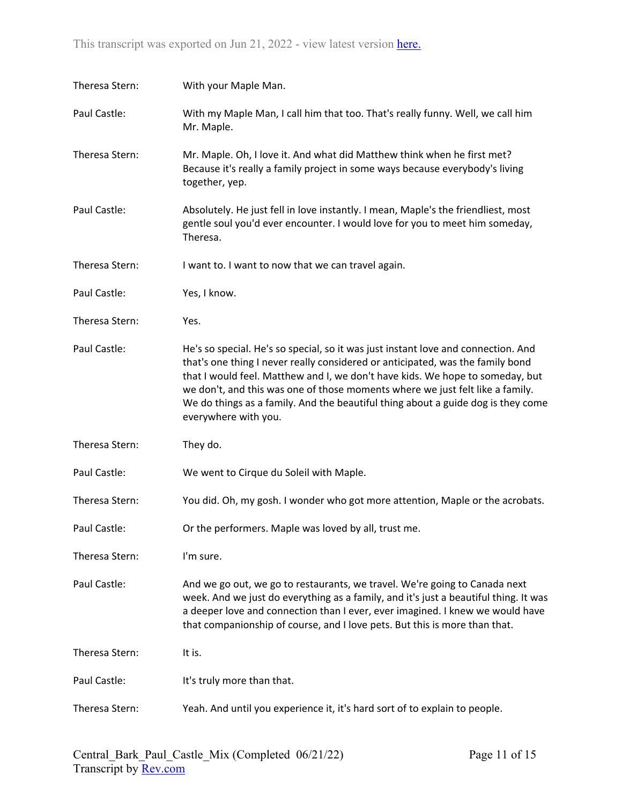| Theresa Stern: | With your Maple Man.                                                                                                                                                                                                                                                                                                                                                                                                                              |
|----------------|---------------------------------------------------------------------------------------------------------------------------------------------------------------------------------------------------------------------------------------------------------------------------------------------------------------------------------------------------------------------------------------------------------------------------------------------------|
| Paul Castle:   | With my Maple Man, I call him that too. That's really funny. Well, we call him<br>Mr. Maple.                                                                                                                                                                                                                                                                                                                                                      |
| Theresa Stern: | Mr. Maple. Oh, I love it. And what did Matthew think when he first met?<br>Because it's really a family project in some ways because everybody's living<br>together, yep.                                                                                                                                                                                                                                                                         |
| Paul Castle:   | Absolutely. He just fell in love instantly. I mean, Maple's the friendliest, most<br>gentle soul you'd ever encounter. I would love for you to meet him someday,<br>Theresa.                                                                                                                                                                                                                                                                      |
| Theresa Stern: | I want to. I want to now that we can travel again.                                                                                                                                                                                                                                                                                                                                                                                                |
| Paul Castle:   | Yes, I know.                                                                                                                                                                                                                                                                                                                                                                                                                                      |
| Theresa Stern: | Yes.                                                                                                                                                                                                                                                                                                                                                                                                                                              |
| Paul Castle:   | He's so special. He's so special, so it was just instant love and connection. And<br>that's one thing I never really considered or anticipated, was the family bond<br>that I would feel. Matthew and I, we don't have kids. We hope to someday, but<br>we don't, and this was one of those moments where we just felt like a family.<br>We do things as a family. And the beautiful thing about a guide dog is they come<br>everywhere with you. |
| Theresa Stern: | They do.                                                                                                                                                                                                                                                                                                                                                                                                                                          |
| Paul Castle:   | We went to Cirque du Soleil with Maple.                                                                                                                                                                                                                                                                                                                                                                                                           |
| Theresa Stern: | You did. Oh, my gosh. I wonder who got more attention, Maple or the acrobats.                                                                                                                                                                                                                                                                                                                                                                     |
| Paul Castle:   | Or the performers. Maple was loved by all, trust me.                                                                                                                                                                                                                                                                                                                                                                                              |
| Theresa Stern: | I'm sure.                                                                                                                                                                                                                                                                                                                                                                                                                                         |
| Paul Castle:   | And we go out, we go to restaurants, we travel. We're going to Canada next<br>week. And we just do everything as a family, and it's just a beautiful thing. It was<br>a deeper love and connection than I ever, ever imagined. I knew we would have<br>that companionship of course, and I love pets. But this is more than that.                                                                                                                 |
| Theresa Stern: | It is.                                                                                                                                                                                                                                                                                                                                                                                                                                            |
| Paul Castle:   | It's truly more than that.                                                                                                                                                                                                                                                                                                                                                                                                                        |
| Theresa Stern: | Yeah. And until you experience it, it's hard sort of to explain to people.                                                                                                                                                                                                                                                                                                                                                                        |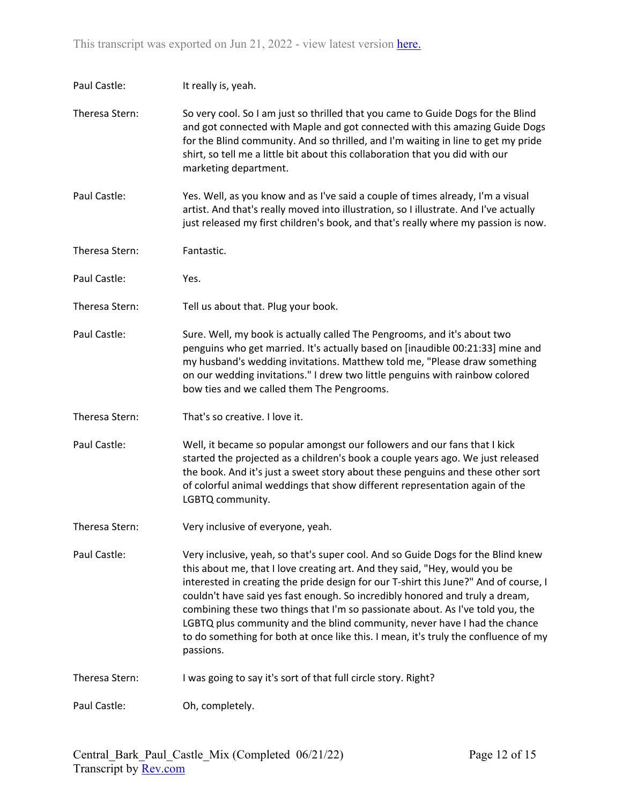| Paul Castle:   | It really is, yeah.                                                                                                                                                                                                                                                                                                                                                                                                                                                                                                                                                                                       |
|----------------|-----------------------------------------------------------------------------------------------------------------------------------------------------------------------------------------------------------------------------------------------------------------------------------------------------------------------------------------------------------------------------------------------------------------------------------------------------------------------------------------------------------------------------------------------------------------------------------------------------------|
| Theresa Stern: | So very cool. So I am just so thrilled that you came to Guide Dogs for the Blind<br>and got connected with Maple and got connected with this amazing Guide Dogs<br>for the Blind community. And so thrilled, and I'm waiting in line to get my pride<br>shirt, so tell me a little bit about this collaboration that you did with our<br>marketing department.                                                                                                                                                                                                                                            |
| Paul Castle:   | Yes. Well, as you know and as I've said a couple of times already, I'm a visual<br>artist. And that's really moved into illustration, so I illustrate. And I've actually<br>just released my first children's book, and that's really where my passion is now.                                                                                                                                                                                                                                                                                                                                            |
| Theresa Stern: | Fantastic.                                                                                                                                                                                                                                                                                                                                                                                                                                                                                                                                                                                                |
| Paul Castle:   | Yes.                                                                                                                                                                                                                                                                                                                                                                                                                                                                                                                                                                                                      |
| Theresa Stern: | Tell us about that. Plug your book.                                                                                                                                                                                                                                                                                                                                                                                                                                                                                                                                                                       |
| Paul Castle:   | Sure. Well, my book is actually called The Pengrooms, and it's about two<br>penguins who get married. It's actually based on [inaudible 00:21:33] mine and<br>my husband's wedding invitations. Matthew told me, "Please draw something<br>on our wedding invitations." I drew two little penguins with rainbow colored<br>bow ties and we called them The Pengrooms.                                                                                                                                                                                                                                     |
| Theresa Stern: | That's so creative. I love it.                                                                                                                                                                                                                                                                                                                                                                                                                                                                                                                                                                            |
| Paul Castle:   | Well, it became so popular amongst our followers and our fans that I kick<br>started the projected as a children's book a couple years ago. We just released<br>the book. And it's just a sweet story about these penguins and these other sort<br>of colorful animal weddings that show different representation again of the<br>LGBTQ community.                                                                                                                                                                                                                                                        |
| Theresa Stern: | Very inclusive of everyone, yeah.                                                                                                                                                                                                                                                                                                                                                                                                                                                                                                                                                                         |
| Paul Castle:   | Very inclusive, yeah, so that's super cool. And so Guide Dogs for the Blind knew<br>this about me, that I love creating art. And they said, "Hey, would you be<br>interested in creating the pride design for our T-shirt this June?" And of course, I<br>couldn't have said yes fast enough. So incredibly honored and truly a dream,<br>combining these two things that I'm so passionate about. As I've told you, the<br>LGBTQ plus community and the blind community, never have I had the chance<br>to do something for both at once like this. I mean, it's truly the confluence of my<br>passions. |
| Theresa Stern: | I was going to say it's sort of that full circle story. Right?                                                                                                                                                                                                                                                                                                                                                                                                                                                                                                                                            |
| Paul Castle:   | Oh, completely.                                                                                                                                                                                                                                                                                                                                                                                                                                                                                                                                                                                           |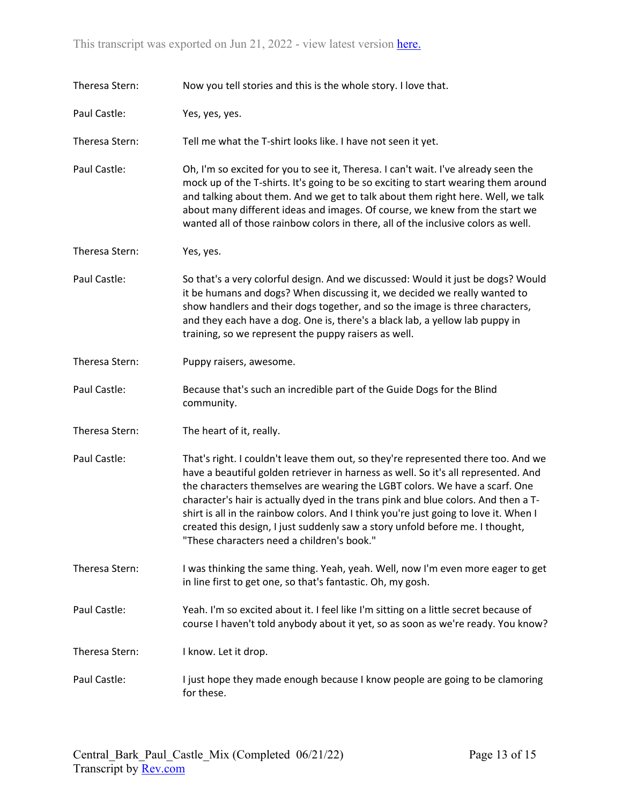| Theresa Stern: | Now you tell stories and this is the whole story. I love that.                                                                                                                                                                                                                                                                                                                                                                                                                                                                                                      |
|----------------|---------------------------------------------------------------------------------------------------------------------------------------------------------------------------------------------------------------------------------------------------------------------------------------------------------------------------------------------------------------------------------------------------------------------------------------------------------------------------------------------------------------------------------------------------------------------|
| Paul Castle:   | Yes, yes, yes.                                                                                                                                                                                                                                                                                                                                                                                                                                                                                                                                                      |
| Theresa Stern: | Tell me what the T-shirt looks like. I have not seen it yet.                                                                                                                                                                                                                                                                                                                                                                                                                                                                                                        |
| Paul Castle:   | Oh, I'm so excited for you to see it, Theresa. I can't wait. I've already seen the<br>mock up of the T-shirts. It's going to be so exciting to start wearing them around<br>and talking about them. And we get to talk about them right here. Well, we talk<br>about many different ideas and images. Of course, we knew from the start we<br>wanted all of those rainbow colors in there, all of the inclusive colors as well.                                                                                                                                     |
| Theresa Stern: | Yes, yes.                                                                                                                                                                                                                                                                                                                                                                                                                                                                                                                                                           |
| Paul Castle:   | So that's a very colorful design. And we discussed: Would it just be dogs? Would<br>it be humans and dogs? When discussing it, we decided we really wanted to<br>show handlers and their dogs together, and so the image is three characters,<br>and they each have a dog. One is, there's a black lab, a yellow lab puppy in<br>training, so we represent the puppy raisers as well.                                                                                                                                                                               |
| Theresa Stern: | Puppy raisers, awesome.                                                                                                                                                                                                                                                                                                                                                                                                                                                                                                                                             |
| Paul Castle:   | Because that's such an incredible part of the Guide Dogs for the Blind<br>community.                                                                                                                                                                                                                                                                                                                                                                                                                                                                                |
| Theresa Stern: | The heart of it, really.                                                                                                                                                                                                                                                                                                                                                                                                                                                                                                                                            |
| Paul Castle:   | That's right. I couldn't leave them out, so they're represented there too. And we<br>have a beautiful golden retriever in harness as well. So it's all represented. And<br>the characters themselves are wearing the LGBT colors. We have a scarf. One<br>character's hair is actually dyed in the trans pink and blue colors. And then a T-<br>shirt is all in the rainbow colors. And I think you're just going to love it. When I<br>created this design, I just suddenly saw a story unfold before me. I thought,<br>"These characters need a children's book." |
| Theresa Stern: | I was thinking the same thing. Yeah, yeah. Well, now I'm even more eager to get<br>in line first to get one, so that's fantastic. Oh, my gosh.                                                                                                                                                                                                                                                                                                                                                                                                                      |
| Paul Castle:   | Yeah. I'm so excited about it. I feel like I'm sitting on a little secret because of<br>course I haven't told anybody about it yet, so as soon as we're ready. You know?                                                                                                                                                                                                                                                                                                                                                                                            |
| Theresa Stern: | I know. Let it drop.                                                                                                                                                                                                                                                                                                                                                                                                                                                                                                                                                |
| Paul Castle:   | I just hope they made enough because I know people are going to be clamoring<br>for these.                                                                                                                                                                                                                                                                                                                                                                                                                                                                          |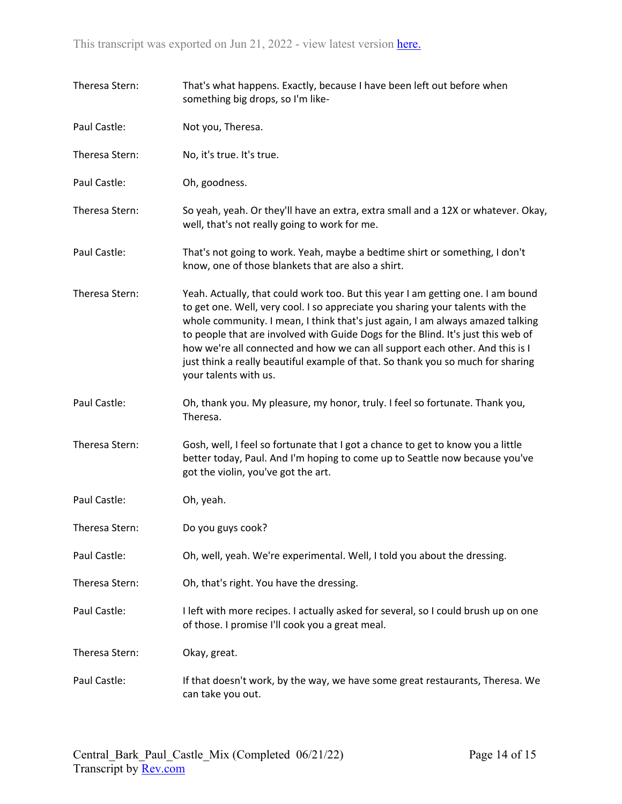| Theresa Stern: | That's what happens. Exactly, because I have been left out before when<br>something big drops, so I'm like-                                                                                                                                                                                                                                                                                                                                                                                                                         |
|----------------|-------------------------------------------------------------------------------------------------------------------------------------------------------------------------------------------------------------------------------------------------------------------------------------------------------------------------------------------------------------------------------------------------------------------------------------------------------------------------------------------------------------------------------------|
| Paul Castle:   | Not you, Theresa.                                                                                                                                                                                                                                                                                                                                                                                                                                                                                                                   |
| Theresa Stern: | No, it's true. It's true.                                                                                                                                                                                                                                                                                                                                                                                                                                                                                                           |
| Paul Castle:   | Oh, goodness.                                                                                                                                                                                                                                                                                                                                                                                                                                                                                                                       |
| Theresa Stern: | So yeah, yeah. Or they'll have an extra, extra small and a 12X or whatever. Okay,<br>well, that's not really going to work for me.                                                                                                                                                                                                                                                                                                                                                                                                  |
| Paul Castle:   | That's not going to work. Yeah, maybe a bedtime shirt or something, I don't<br>know, one of those blankets that are also a shirt.                                                                                                                                                                                                                                                                                                                                                                                                   |
| Theresa Stern: | Yeah. Actually, that could work too. But this year I am getting one. I am bound<br>to get one. Well, very cool. I so appreciate you sharing your talents with the<br>whole community. I mean, I think that's just again, I am always amazed talking<br>to people that are involved with Guide Dogs for the Blind. It's just this web of<br>how we're all connected and how we can all support each other. And this is I<br>just think a really beautiful example of that. So thank you so much for sharing<br>your talents with us. |
| Paul Castle:   | Oh, thank you. My pleasure, my honor, truly. I feel so fortunate. Thank you,<br>Theresa.                                                                                                                                                                                                                                                                                                                                                                                                                                            |
| Theresa Stern: | Gosh, well, I feel so fortunate that I got a chance to get to know you a little<br>better today, Paul. And I'm hoping to come up to Seattle now because you've<br>got the violin, you've got the art.                                                                                                                                                                                                                                                                                                                               |
| Paul Castle:   | Oh, yeah.                                                                                                                                                                                                                                                                                                                                                                                                                                                                                                                           |
| Theresa Stern: | Do you guys cook?                                                                                                                                                                                                                                                                                                                                                                                                                                                                                                                   |
| Paul Castle:   | Oh, well, yeah. We're experimental. Well, I told you about the dressing.                                                                                                                                                                                                                                                                                                                                                                                                                                                            |
| Theresa Stern: | Oh, that's right. You have the dressing.                                                                                                                                                                                                                                                                                                                                                                                                                                                                                            |
| Paul Castle:   | I left with more recipes. I actually asked for several, so I could brush up on one<br>of those. I promise I'll cook you a great meal.                                                                                                                                                                                                                                                                                                                                                                                               |
| Theresa Stern: | Okay, great.                                                                                                                                                                                                                                                                                                                                                                                                                                                                                                                        |
| Paul Castle:   | If that doesn't work, by the way, we have some great restaurants, Theresa. We<br>can take you out.                                                                                                                                                                                                                                                                                                                                                                                                                                  |